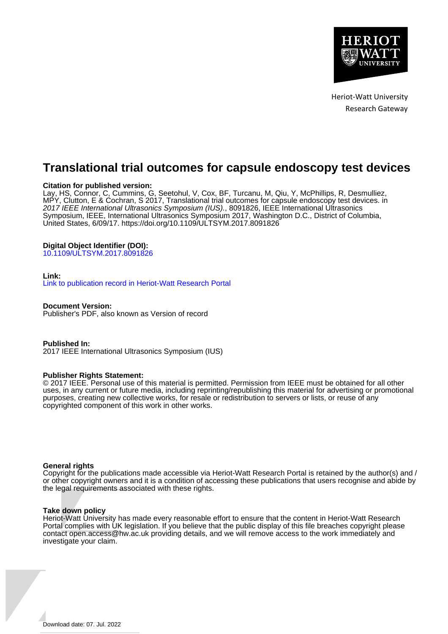

Heriot-Watt University Research Gateway

# **Translational trial outcomes for capsule endoscopy test devices**

# **Citation for published version:**

Lay, HS, Connor, C, Cummins, G, Seetohul, V, Cox, BF, Turcanu, M, Qiu, Y, McPhillips, R, Desmulliez, MPY, Clutton, E & Cochran, S 2017, Translational trial outcomes for capsule endoscopy test devices. in 2017 IEEE International Ultrasonics Symposium (IUS)., 8091826, IEEE International Ultrasonics Symposium, IEEE, International Ultrasonics Symposium 2017, Washington D.C., District of Columbia, United States, 6/09/17. <https://doi.org/10.1109/ULTSYM.2017.8091826>

# **Digital Object Identifier (DOI):**

[10.1109/ULTSYM.2017.8091826](https://doi.org/10.1109/ULTSYM.2017.8091826)

# **Link:**

[Link to publication record in Heriot-Watt Research Portal](https://researchportal.hw.ac.uk/en/publications/697df5e0-1ce1-4fe7-bd9b-7aa1aa3c408d)

**Document Version:**

Publisher's PDF, also known as Version of record

**Published In:** 2017 IEEE International Ultrasonics Symposium (IUS)

#### **Publisher Rights Statement:**

© 2017 IEEE. Personal use of this material is permitted. Permission from IEEE must be obtained for all other uses, in any current or future media, including reprinting/republishing this material for advertising or promotional purposes, creating new collective works, for resale or redistribution to servers or lists, or reuse of any copyrighted component of this work in other works.

# **General rights**

Copyright for the publications made accessible via Heriot-Watt Research Portal is retained by the author(s) and / or other copyright owners and it is a condition of accessing these publications that users recognise and abide by the legal requirements associated with these rights.

#### **Take down policy**

Heriot-Watt University has made every reasonable effort to ensure that the content in Heriot-Watt Research Portal complies with UK legislation. If you believe that the public display of this file breaches copyright please contact open.access@hw.ac.uk providing details, and we will remove access to the work immediately and investigate your claim.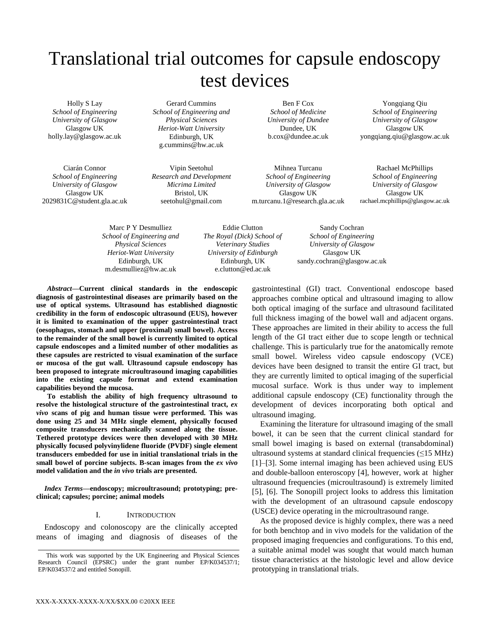# Translational trial outcomes for capsule endoscopy test devices

Holly S Lay *School of Engineering University of Glasgow* Glasgow UK holly.lay@glasgow.ac.uk

Ciarán Connor *School of Engineering University of Glasgow* Glasgow UK 2029831C@student.gla.ac.uk

Gerard Cummins *School of Engineering and Physical Sciences Heriot-Watt University* Edinburgh, UK g.cummins@hw.ac.uk

Vipin Seetohul *Research and Development Micrima Limited* Bristol, UK seetohul@gmail.com

Ben F Cox *School of Medicine University of Dundee* Dundee, UK b.cox@dundee.ac.uk

Mihnea Turcanu *School of Engineering University of Glasgow* Glasgow UK m.turcanu.1@research.gla.ac.uk

Yongqiang Qiu *School of Engineering University of Glasgow* Glasgow UK yongqiang.qiu@glasgow.ac.uk

Rachael McPhillips *School of Engineering University of Glasgow* Glasgow UK rachael.mcphillips@glasgow.ac.uk

Marc P Y Desmulliez *School of Engineering and Physical Sciences Heriot-Watt University* Edinburgh, UK m.desmulliez@hw.ac.uk

Eddie Clutton *The Royal (Dick) School of Veterinary Studies University of Edinburgh* Edinburgh, UK e.clutton@ed.ac.uk

Sandy Cochran *School of Engineering University of Glasgow* Glasgow UK sandy.cochran@glasgow.ac.uk

*Abstract***—Current clinical standards in the endoscopic diagnosis of gastrointestinal diseases are primarily based on the use of optical systems. Ultrasound has established diagnostic credibility in the form of endoscopic ultrasound (EUS), however it is limited to examination of the upper gastrointestinal tract (oesophagus, stomach and upper (proximal) small bowel). Access to the remainder of the small bowel is currently limited to optical capsule endoscopes and a limited number of other modalities as these capsules are restricted to visual examination of the surface or mucosa of the gut wall. Ultrasound capsule endoscopy has been proposed to integrate microultrasound imaging capabilities into the existing capsule format and extend examination capabilities beyond the mucosa.**

**To establish the ability of high frequency ultrasound to resolve the histological structure of the gastrointestinal tract,** *ex vivo* **scans of pig and human tissue were performed. This was done using 25 and 34 MHz single element, physically focused composite transducers mechanically scanned along the tissue. Tethered prototype devices were then developed with 30 MHz physically focused polyvinylidene fluoride (PVDF) single element transducers embedded for use in initial translational trials in the small bowel of porcine subjects. B-scan images from the** *ex vivo* **model validation and the** *in vivo* **trials are presented.**

*Index Terms***—endoscopy; microultrasound; prototyping; preclinical; capsules; porcine; animal models**

#### I. INTRODUCTION

Endoscopy and colonoscopy are the clinically accepted means of imaging and diagnosis of diseases of the gastrointestinal (GI) tract. Conventional endoscope based approaches combine optical and ultrasound imaging to allow both optical imaging of the surface and ultrasound facilitated full thickness imaging of the bowel wall and adjacent organs. These approaches are limited in their ability to access the full length of the GI tract either due to scope length or technical challenge. This is particularly true for the anatomically remote small bowel. Wireless video capsule endoscopy (VCE) devices have been designed to transit the entire GI tract, but they are currently limited to optical imaging of the superficial mucosal surface. Work is thus under way to implement additional capsule endoscopy (CE) functionality through the development of devices incorporating both optical and ultrasound imaging.

Examining the literature for ultrasound imaging of the small bowel, it can be seen that the current clinical standard for small bowel imaging is based on external (transabdominal) ultrasound systems at standard clinical frequencies  $(\leq 15 \text{ MHz})$ [1]–[3]. Some internal imaging has been achieved using EUS and double-balloon enteroscopy [4], however, work at higher ultrasound frequencies (microultrasound) is extremely limited [5], [6]. The Sonopill project looks to address this limitation with the development of an ultrasound capsule endoscopy (USCE) device operating in the microultrasound range.

As the proposed device is highly complex, there was a need for both benchtop and in vivo models for the validation of the proposed imaging frequencies and configurations. To this end, a suitable animal model was sought that would match human tissue characteristics at the histologic level and allow device prototyping in translational trials.

This work was supported by the UK Engineering and Physical Sciences Research Council (EPSRC) under the grant number EP/K034537/1; EP/K034537/2 and entitled Sonopill.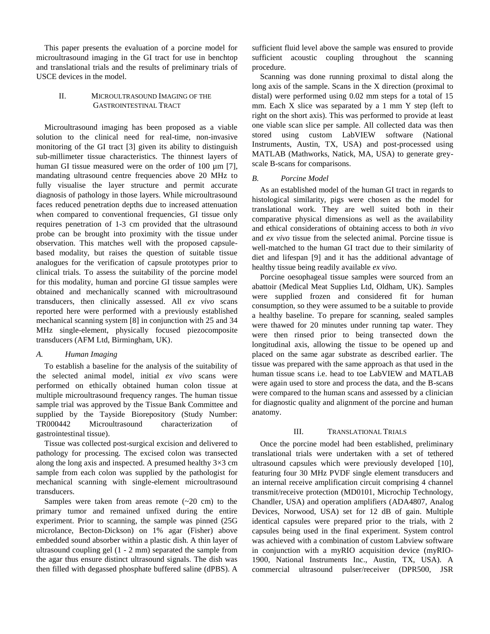This paper presents the evaluation of a porcine model for microultrasound imaging in the GI tract for use in benchtop and translational trials and the results of preliminary trials of USCE devices in the model.

# II. MICROULTRASOUND IMAGING OF THE GASTROINTESTINAL TRACT

Microultrasound imaging has been proposed as a viable solution to the clinical need for real-time, non-invasive monitoring of the GI tract [3] given its ability to distinguish sub-millimeter tissue characteristics. The thinnest layers of human GI tissue measured were on the order of 100  $\mu$ m [7], mandating ultrasound centre frequencies above 20 MHz to fully visualise the layer structure and permit accurate diagnosis of pathology in those layers. While microultrasound faces reduced penetration depths due to increased attenuation when compared to conventional frequencies, GI tissue only requires penetration of 1-3 cm provided that the ultrasound probe can be brought into proximity with the tissue under observation. This matches well with the proposed capsulebased modality, but raises the question of suitable tissue analogues for the verification of capsule prototypes prior to clinical trials. To assess the suitability of the porcine model for this modality, human and porcine GI tissue samples were obtained and mechanically scanned with microultrasound transducers, then clinically assessed. All *ex vivo* scans reported here were performed with a previously established mechanical scanning system [8] in conjunction with 25 and 34 MHz single-element, physically focused piezocomposite transducers (AFM Ltd, Birmingham, UK).

# *A. Human Imaging*

To establish a baseline for the analysis of the suitability of the selected animal model, initial *ex vivo* scans were performed on ethically obtained human colon tissue at multiple microultrasound frequency ranges. The human tissue sample trial was approved by the Tissue Bank Committee and supplied by the Tayside Biorepository (Study Number: TR000442 Microultrasound characterization of gastrointestinal tissue).

Tissue was collected post-surgical excision and delivered to pathology for processing. The excised colon was transected along the long axis and inspected. A presumed healthy  $3\times3$  cm sample from each colon was supplied by the pathologist for mechanical scanning with single-element microultrasound transducers.

Samples were taken from areas remote  $(\sim 20 \text{ cm})$  to the primary tumor and remained unfixed during the entire experiment. Prior to scanning, the sample was pinned (25G microlance, Becton-Dickson) on 1% agar (Fisher) above embedded sound absorber within a plastic dish. A thin layer of ultrasound coupling gel (1 - 2 mm) separated the sample from the agar thus ensure distinct ultrasound signals. The dish was then filled with degassed phosphate buffered saline (dPBS). A sufficient fluid level above the sample was ensured to provide sufficient acoustic coupling throughout the scanning procedure.

Scanning was done running proximal to distal along the long axis of the sample. Scans in the X direction (proximal to distal) were performed using 0.02 mm steps for a total of 15 mm. Each X slice was separated by a 1 mm Y step (left to right on the short axis). This was performed to provide at least one viable scan slice per sample. All collected data was then stored using custom LabVIEW software (National Instruments, Austin, TX, USA) and post-processed using MATLAB (Mathworks, Natick, MA, USA) to generate greyscale B-scans for comparisons.

# *B. Porcine Model*

As an established model of the human GI tract in regards to histological similarity, pigs were chosen as the model for translational work. They are well suited both in their comparative physical dimensions as well as the availability and ethical considerations of obtaining access to both *in vivo* and *ex vivo* tissue from the selected animal. Porcine tissue is well-matched to the human GI tract due to their similarity of diet and lifespan [9] and it has the additional advantage of healthy tissue being readily available *ex vivo.*

Porcine oesophageal tissue samples were sourced from an abattoir (Medical Meat Supplies Ltd, Oldham, UK). Samples were supplied frozen and considered fit for human consumption, so they were assumed to be a suitable to provide a healthy baseline. To prepare for scanning, sealed samples were thawed for 20 minutes under running tap water. They were then rinsed prior to being transected down the longitudinal axis, allowing the tissue to be opened up and placed on the same agar substrate as described earlier. The tissue was prepared with the same approach as that used in the human tissue scans i.e. head to toe LabVIEW and MATLAB were again used to store and process the data, and the B-scans were compared to the human scans and assessed by a clinician for diagnostic quality and alignment of the porcine and human anatomy.

# III. TRANSLATIONAL TRIALS

Once the porcine model had been established, preliminary translational trials were undertaken with a set of tethered ultrasound capsules which were previously developed [10], featuring four 30 MHz PVDF single element transducers and an internal receive amplification circuit comprising 4 channel transmit/receive protection (MD0101, Microchip Technology, Chandler, USA) and operation amplifiers (ADA4807, Analog Devices, Norwood, USA) set for 12 dB of gain. Multiple identical capsules were prepared prior to the trials, with 2 capsules being used in the final experiment. System control was achieved with a combination of custom Labview software in conjunction with a myRIO acquisition device (myRIO-1900, National Instruments Inc., Austin, TX, USA). A commercial ultrasound pulser/receiver (DPR500, JSR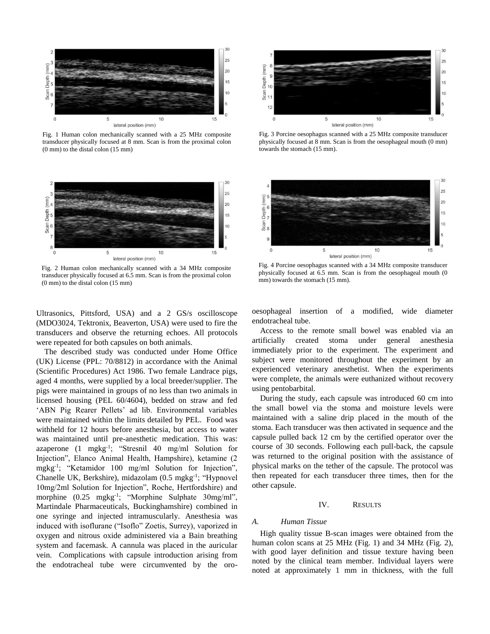

Fig. 1 Human colon mechanically scanned with a 25 MHz composite transducer physically focused at 8 mm. Scan is from the proximal colon (0 mm) to the distal colon (15 mm)



Fig. 2 Human colon mechanically scanned with a 34 MHz composite transducer physically focused at 6.5 mm. Scan is from the proximal colon (0 mm) to the distal colon (15 mm)

Ultrasonics, Pittsford, USA) and a 2 GS/s oscilloscope (MDO3024, Tektronix, Beaverton, USA) were used to fire the transducers and observe the returning echoes. All protocols were repeated for both capsules on both animals.

The described study was conducted under Home Office (UK) License (PPL: 70/8812) in accordance with the Animal (Scientific Procedures) Act 1986. Two female Landrace pigs, aged 4 months, were supplied by a local breeder/supplier. The pigs were maintained in groups of no less than two animals in licensed housing (PEL 60/4604), bedded on straw and fed 'ABN Pig Rearer Pellets' ad lib. Environmental variables were maintained within the limits detailed by PEL. Food was withheld for 12 hours before anesthesia, but access to water was maintained until pre-anesthetic medication. This was: azaperone (1 mgkg-1 ; "Stresnil 40 mg/ml Solution for Injection", Elanco Animal Health, Hampshire), ketamine (2 mgkg-1 ; "Ketamidor 100 mg/ml Solution for Injection", Chanelle UK, Berkshire), midazolam (0.5 mgkg-1 ; "Hypnovel 10mg/2ml Solution for Injection", Roche, Hertfordshire) and morphine (0.25 mgkg<sup>-1</sup>; "Morphine Sulphate 30mg/ml", Martindale Pharmaceuticals, Buckinghamshire) combined in one syringe and injected intramuscularly. Anesthesia was induced with isoflurane ("Isoflo" Zoetis, Surrey), vaporized in oxygen and nitrous oxide administered via a Bain breathing system and facemask. A cannula was placed in the auricular vein. Complications with capsule introduction arising from the endotracheal tube were circumvented by the oro-



Fig. 3 Porcine oesophagus scanned with a 25 MHz composite transducer physically focused at 8 mm. Scan is from the oesophageal mouth (0 mm) towards the stomach (15 mm).



Fig. 4 Porcine oesophagus scanned with a 34 MHz composite transducer physically focused at 6.5 mm. Scan is from the oesophageal mouth (0 mm) towards the stomach (15 mm).

oesophageal insertion of a modified, wide diameter endotracheal tube.

Access to the remote small bowel was enabled via an artificially created stoma under general anesthesia immediately prior to the experiment. The experiment and subject were monitored throughout the experiment by an experienced veterinary anesthetist. When the experiments were complete, the animals were euthanized without recovery using pentobarbital.

During the study, each capsule was introduced 60 cm into the small bowel via the stoma and moisture levels were maintained with a saline drip placed in the mouth of the stoma. Each transducer was then activated in sequence and the capsule pulled back 12 cm by the certified operator over the course of 30 seconds. Following each pull-back, the capsule was returned to the original position with the assistance of physical marks on the tether of the capsule. The protocol was then repeated for each transducer three times, then for the other capsule.

#### IV. RESULTS

#### *A. Human Tissue*

High quality tissue B-scan images were obtained from the human colon scans at 25 MHz (Fig. 1) and 34 MHz (Fig. 2), with good layer definition and tissue texture having been noted by the clinical team member. Individual layers were noted at approximately 1 mm in thickness, with the full